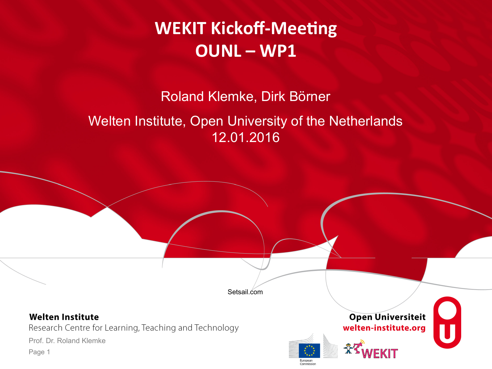**WEKIT Kickoff-Meeting OUNL – WP1** 

Roland Klemke, Dirk Börner

### Welten Institute, Open University of the Netherlands 12.01.2016

Setsail.com

#### **Welten Institute**

Research Centre for Learning, Teaching and Technology

Prof. Dr. Roland Klemke





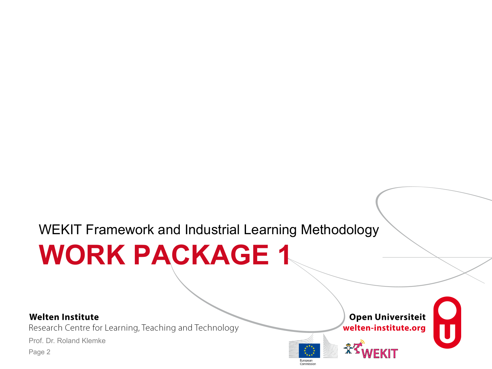### WEKIT Framework and Industrial Learning Methodology

# **WORK PACKAGE 1**

#### **Welten Institute**

Research Centre for Learning, Teaching and Technology

Prof. Dr. Roland Klemke





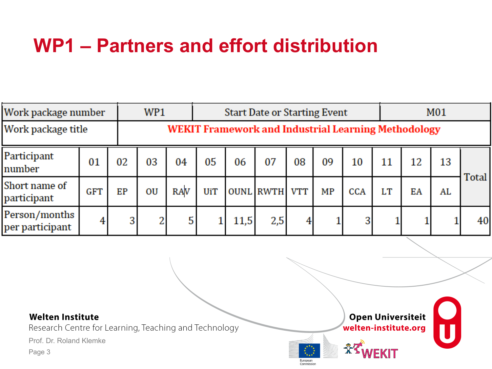## **WP1 – Partners and effort distribution**

| Work package number |                                                            | WP1 |            |            | <b>Start Date or Starting Event</b> |     |    |                      |            |    | M01 |    |              |  |
|---------------------|------------------------------------------------------------|-----|------------|------------|-------------------------------------|-----|----|----------------------|------------|----|-----|----|--------------|--|
| Work package title  | <b>WEKIT Framework and Industrial Learning Methodology</b> |     |            |            |                                     |     |    |                      |            |    |     |    |              |  |
| 01                  | 02                                                         | 03  | 04         | 05         | 06                                  | 07  | 08 | 09                   | 10         | 11 | 12  | 13 |              |  |
| <b>GFT</b>          | EP                                                         | OU  | <b>RAV</b> | <b>UiT</b> |                                     |     |    | MP                   | <b>CCA</b> | LT | EA  | AL | <b>Total</b> |  |
| 4                   | 3                                                          | 2   | 5          |            | 11,5                                | 2,5 | 4  |                      |            |    |     |    | 40           |  |
|                     |                                                            |     |            |            |                                     |     |    | <b>OUNL RWTH VTT</b> |            | 3  |     |    |              |  |

#### **Welten Institute**

Research Centre for Learning, Teaching and Technology

Prof. Dr. Roland Klemke



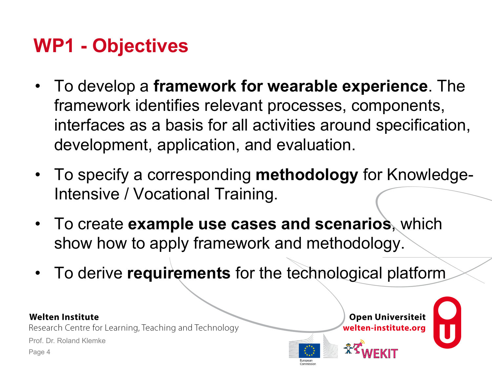### **WP1 - Objectives**

- To develop a **framework for wearable experience**. The framework identifies relevant processes, components, interfaces as a basis for all activities around specification, development, application, and evaluation.
- To specify a corresponding **methodology** for Knowledge-Intensive / Vocational Training.
- To create **example use cases and scenarios**, which show how to apply framework and methodology.
- To derive **requirements** for the technological platform

#### **Welten Institute**

Research Centre for Learning, Teaching and Technology

Prof. Dr. Roland Klemke



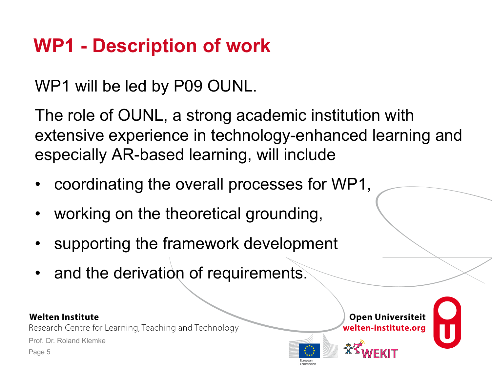# **WP1 - Description of work**

WP1 will be led by P09 OUNL.

The role of OUNL, a strong academic institution with extensive experience in technology-enhanced learning and especially AR-based learning, will include

- coordinating the overall processes for WP1,
- working on the theoretical grounding,
- supporting the framework development
- and the derivation of requirements.

#### **Welten Institute**

Research Centre for Learning, Teaching and Technology

Prof. Dr. Roland Klemke



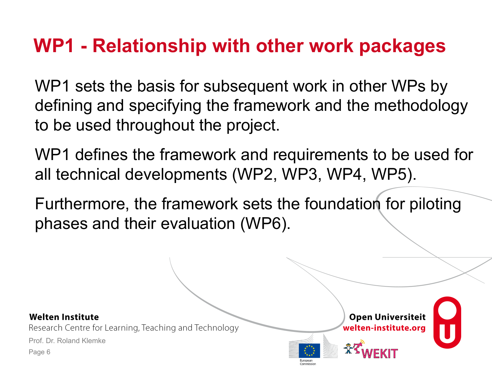### **WP1 - Relationship with other work packages**

WP1 sets the basis for subsequent work in other WPs by defining and specifying the framework and the methodology to be used throughout the project.

WP1 defines the framework and requirements to be used for all technical developments (WP2, WP3, WP4, WP5).

Furthermore, the framework sets the foundation for piloting phases and their evaluation (WP6).

**Welten Institute** 

Research Centre for Learning, Teaching and Technology

Prof. Dr. Roland Klemke



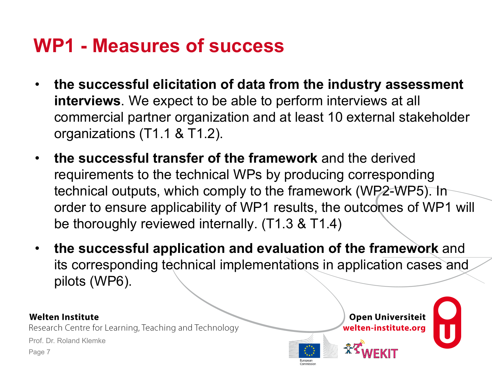### **WP1 - Measures of success**

- **the successful elicitation of data from the industry assessment interviews**. We expect to be able to perform interviews at all commercial partner organization and at least 10 external stakeholder organizations (T1.1 & T1.2).
- **the successful transfer of the framework** and the derived requirements to the technical WPs by producing corresponding technical outputs, which comply to the framework (WP2-WP5). In order to ensure applicability of WP1 results, the outcomes of WP1 will be thoroughly reviewed internally. (T1.3 & T1.4)
- **the successful application and evaluation of the framework** and its corresponding technical implementations in application cases and pilots (WP6).

#### **Welten Institute**

Research Centre for Learning, Teaching and Technology

Prof. Dr. Roland Klemke



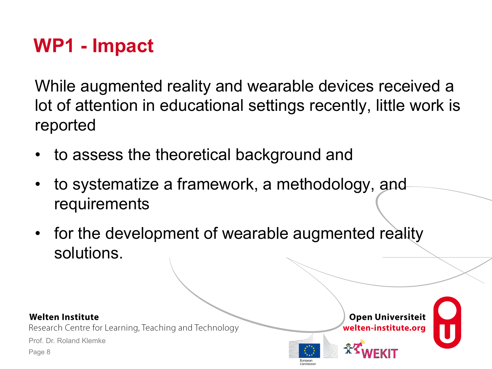## **WP1 - Impact**

While augmented reality and wearable devices received a lot of attention in educational settings recently, little work is reported

- to assess the theoretical background and
- to systematize a framework, a methodology, and requirements
- for the development of wearable augmented reality solutions.

#### **Welten Institute**

Research Centre for Learning, Teaching and Technology

Prof. Dr. Roland Klemke



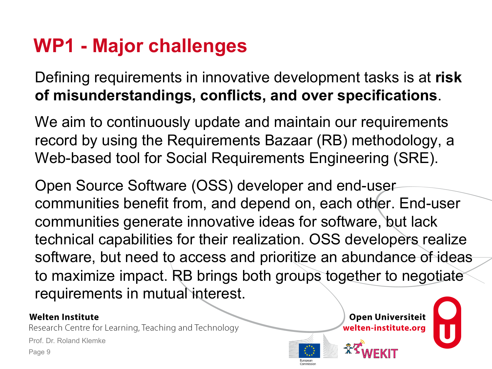## **WP1 - Major challenges**

Defining requirements in innovative development tasks is at **risk of misunderstandings, conflicts, and over specifications**.

We aim to continuously update and maintain our requirements record by using the Requirements Bazaar (RB) methodology, a Web-based tool for Social Requirements Engineering (SRE).

Open Source Software (OSS) developer and end-user communities benefit from, and depend on, each other. End-user communities generate innovative ideas for software, but lack technical capabilities for their realization. OSS developers realize software, but need to access and prioritize an abundance of ideas to maximize impact. RB brings both groups together to negotiate requirements in mutual interest.

#### **Welten Institute**

Research Centre for Learning, Teaching and Technology

Prof. Dr. Roland Klemke



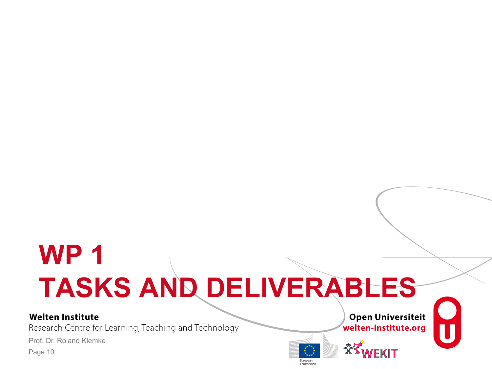# **WP 1 TASKS AND DELIVERABLES**

#### **Welten Institute**

Research Centre for Learning, Teaching and Technology

Prof. Dr. Roland Klemke



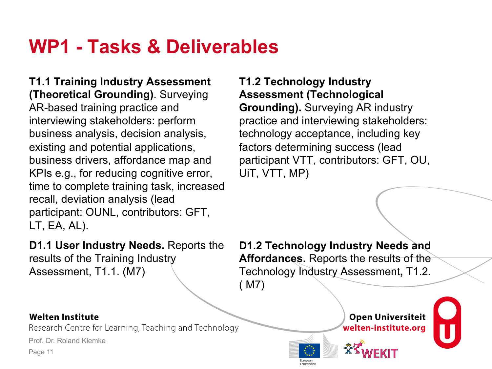### **WP1 - Tasks & Deliverables**

**T1.1 Training Industry Assessment (Theoretical Grounding)**. Surveying AR-based training practice and interviewing stakeholders: perform business analysis, decision analysis, existing and potential applications, business drivers, affordance map and KPIs e.g., for reducing cognitive error, time to complete training task, increased recall, deviation analysis (lead participant: OUNL, contributors: GFT, LT, EA, AL).

**D1.1 User Industry Needs.** Reports the results of the Training Industry Assessment, T1.1. (M7)

**D1.2 Technology Industry Needs and Affordances.** Reports the results of the Technology Industry Assessment**,** T1.2. ( M7)

#### **Welten Institute**

Research Centre for Learning, Teaching and Technology

Prof. Dr. Roland Klemke

Page 11



**T1.2 Technology Industry**

UiT, VTT, MP)

**Assessment (Technological** 

**Grounding).** Surveying AR industry

factors determining success (lead

practice and interviewing stakeholders: technology acceptance, including key

participant VTT, contributors: GFT, OU,



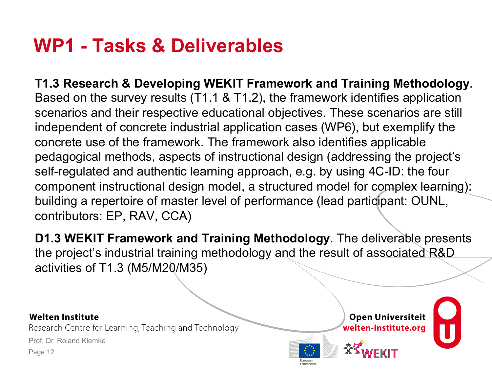### **WP1 - Tasks & Deliverables**

**T1.3 Research & Developing WEKIT Framework and Training Methodology**. Based on the survey results (T1.1 & T1.2), the framework identifies application scenarios and their respective educational objectives. These scenarios are still independent of concrete industrial application cases (WP6), but exemplify the concrete use of the framework. The framework also identifies applicable pedagogical methods, aspects of instructional design (addressing the project's self-regulated and authentic learning approach, e.g. by using 4C-ID: the four component instructional design model, a structured model for complex learning): building a repertoire of master level of performance (lead participant: OUNL, contributors: EP, RAV, CCA)

**D1.3 WEKIT Framework and Training Methodology**. The deliverable presents the project's industrial training methodology and the result of associated R&D activities of T1.3 (M5/M20/M35)

#### **Welten Institute**

Research Centre for Learning, Teaching and Technology

Prof. Dr. Roland Klemke



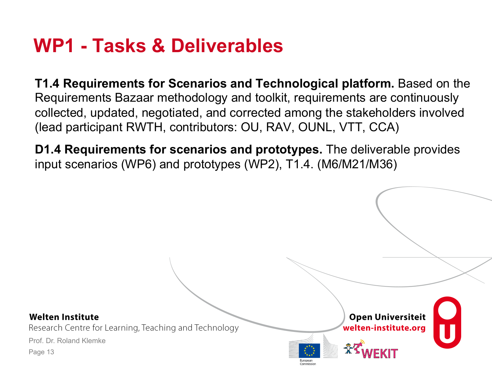### **WP1 - Tasks & Deliverables**

**T1.4 Requirements for Scenarios and Technological platform.** Based on the Requirements Bazaar methodology and toolkit, requirements are continuously collected, updated, negotiated, and corrected among the stakeholders involved (lead participant RWTH, contributors: OU, RAV, OUNL, VTT, CCA)

**D1.4 Requirements for scenarios and prototypes.** The deliverable provides input scenarios (WP6) and prototypes (WP2), T1.4. (M6/M21/M36)

#### **Welten Institute**

Research Centre for Learning, Teaching and Technology

Prof. Dr. Roland Klemke



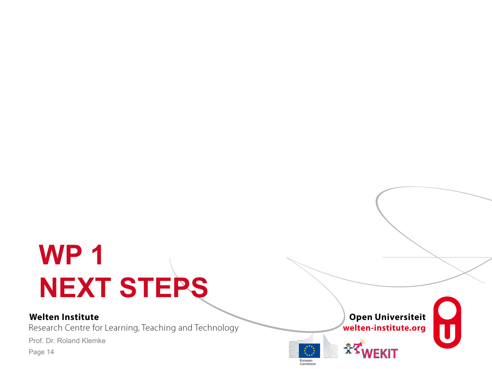# **WP 1 NEXT STEPS**

#### **Welten Institute**

Research Centre for Learning, Teaching and Technology

Prof. Dr. Roland Klemke



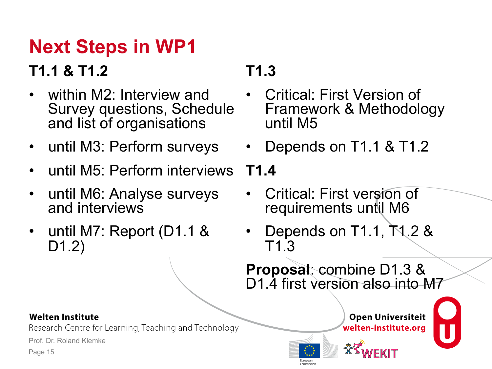# **Next Steps in WP1**

### **T1.1 & T1.2**

- within M2: Interview and Survey questions, Schedule and list of organisations
- until M3: Perform surveys
- until M5: Perform interviews
- until M6: Analyse surveys and interviews
- until M7: Report (D1.1 & D1.2)

### **T1.3**

- Critical: First Version of Framework & Methodology until M5
- Depends on T1.1 & T1.2

**T1.4** 

- Critical: First version of requirements until M6
- Depends on T1.1, T1.2 & T1.3

**Proposal**: combine D1.3 & D1.4 first version also into M7

> **Open Universiteit** welten-institute.org



#### **Welten Institute**

Research Centre for Learning, Teaching and Technology

Prof. Dr. Roland Klemke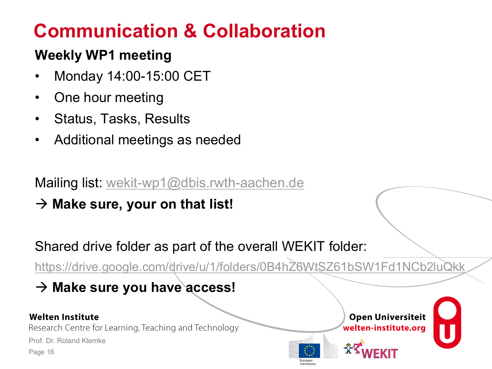## **Communication & Collaboration**

### **Weekly WP1 meeting**

- Monday 14:00-15:00 CET
- One hour meeting
- Status, Tasks, Results
- Additional meetings as needed

Mailing list: wekit-wp1@dbis.rwth-aachen.de

 $\rightarrow$  Make sure, your on that list!

Shared drive folder as part of the overall WEKIT folder:

https://drive.google.com/drive/u/1/folders/0B4hZ6WtSZ61bSW1Fd1NCb2luQkk

à **Make sure you have access!**

#### **Welten Institute**

Research Centre for Learning, Teaching and Technology

Prof. Dr. Roland Klemke



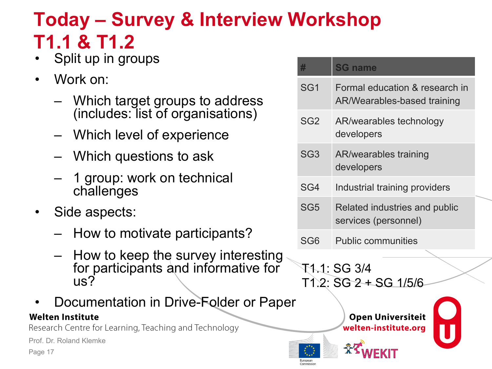# **Today – Survey & Interview Workshop T1.1 & T1.2**

- Split up in groups
- Work on:
	- Which target groups to address (includes: list of organisations)
	- Which level of experience
	- Which questions to ask
	- 1 group: work on technical challenges
- Side aspects:
	- How to motivate participants?
	- How to keep the survey interesting for participants and informative for us?
- Documentation in Drive-Folder or Paper

#### **Welten Institute**

Research Centre for Learning, Teaching and Technology

Prof. Dr. Roland Klemke

Page 17

| 單               | <b>SG name</b>                                                |
|-----------------|---------------------------------------------------------------|
| SG <sub>1</sub> | Formal education & research in<br>AR/Wearables-based training |
| SG <sub>2</sub> | AR/wearables technology<br>developers                         |
| SG <sub>3</sub> | <b>AR/wearables training</b><br>developers                    |
| SG4             | Industrial training providers                                 |
| SG <sub>5</sub> | Related industries and public<br>services (personnel)         |
| SG6             | <b>Public communities</b>                                     |

### T1.1: SG 3/4  $T1.2: SG2 + SG1/5/6$